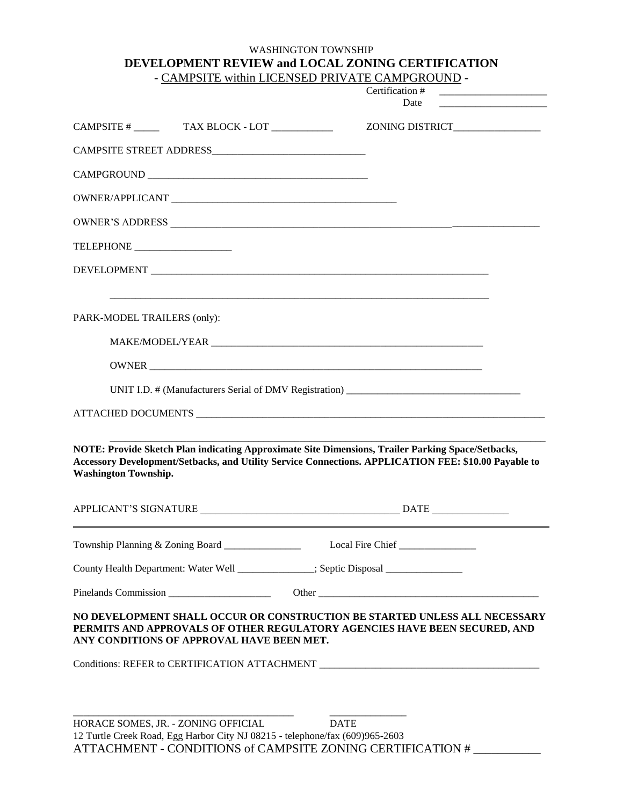## WASHINGTON TOWNSHIP **DEVELOPMENT REVIEW and LOCAL ZONING CERTIFICATION** - CAMPSITE within LICENSED PRIVATE CAMPGROUND -

|                                                                                                                                                                                                                                          | Certification #<br><u> 1980 - Johann Barbara, martin a</u>                        |
|------------------------------------------------------------------------------------------------------------------------------------------------------------------------------------------------------------------------------------------|-----------------------------------------------------------------------------------|
|                                                                                                                                                                                                                                          | Date<br><u> 1989 - Johann Barbara, martxa alemaniar a</u>                         |
|                                                                                                                                                                                                                                          | ZONING DISTRICT_________________                                                  |
|                                                                                                                                                                                                                                          |                                                                                   |
|                                                                                                                                                                                                                                          |                                                                                   |
|                                                                                                                                                                                                                                          |                                                                                   |
|                                                                                                                                                                                                                                          |                                                                                   |
|                                                                                                                                                                                                                                          |                                                                                   |
|                                                                                                                                                                                                                                          |                                                                                   |
| PARK-MODEL TRAILERS (only):                                                                                                                                                                                                              |                                                                                   |
|                                                                                                                                                                                                                                          |                                                                                   |
| OWNER                                                                                                                                                                                                                                    |                                                                                   |
|                                                                                                                                                                                                                                          | UNIT I.D. # (Manufacturers Serial of DMV Registration) __________________________ |
|                                                                                                                                                                                                                                          |                                                                                   |
| NOTE: Provide Sketch Plan indicating Approximate Site Dimensions, Trailer Parking Space/Setbacks,<br>Accessory Development/Setbacks, and Utility Service Connections. APPLICATION FEE: \$10.00 Payable to<br><b>Washington Township.</b> |                                                                                   |
|                                                                                                                                                                                                                                          |                                                                                   |
| Township Planning & Zoning Board ______________                                                                                                                                                                                          |                                                                                   |
| County Health Department: Water Well ____________; Septic Disposal _____________                                                                                                                                                         |                                                                                   |
|                                                                                                                                                                                                                                          |                                                                                   |
| NO DEVELOPMENT SHALL OCCUR OR CONSTRUCTION BE STARTED UNLESS ALL NECESSARY<br>PERMITS AND APPROVALS OF OTHER REGULATORY AGENCIES HAVE BEEN SECURED, AND<br>ANY CONDITIONS OF APPROVAL HAVE BEEN MET.                                     |                                                                                   |
| Conditions: REFER to CERTIFICATION ATTACHMENT ___________________________________                                                                                                                                                        |                                                                                   |
| HORACE SOMES, JR. - ZONING OFFICIAL                                                                                                                                                                                                      | <b>DATE</b>                                                                       |

12 Turtle Creek Road, Egg Harbor City NJ 08215 - telephone/fax (609)965-2603 ATTACHMENT - CONDITIONS of CAMPSITE ZONING CERTIFICATION # \_\_\_\_\_\_\_\_\_\_\_\_\_\_\_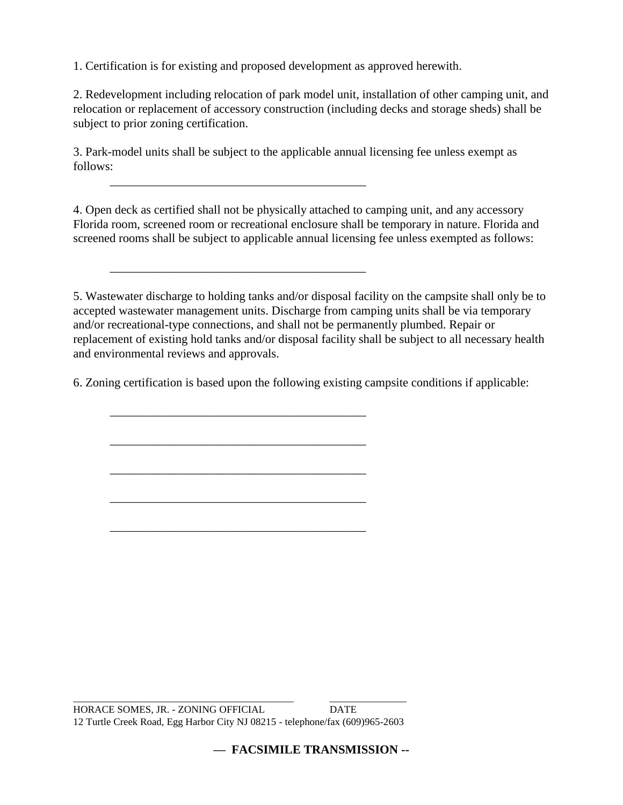1. Certification is for existing and proposed development as approved herewith.

\_\_\_\_\_\_\_\_\_\_\_\_\_\_\_\_\_\_\_\_\_\_\_\_\_\_\_\_\_\_\_\_\_\_\_\_\_\_\_\_\_\_

\_\_\_\_\_\_\_\_\_\_\_\_\_\_\_\_\_\_\_\_\_\_\_\_\_\_\_\_\_\_\_\_\_\_\_\_\_\_\_\_\_\_

\_\_\_\_\_\_\_\_\_\_\_\_\_\_\_\_\_\_\_\_\_\_\_\_\_\_\_\_\_\_\_\_\_\_\_\_\_\_\_\_\_\_

\_\_\_\_\_\_\_\_\_\_\_\_\_\_\_\_\_\_\_\_\_\_\_\_\_\_\_\_\_\_\_\_\_\_\_\_\_\_\_\_\_\_

\_\_\_\_\_\_\_\_\_\_\_\_\_\_\_\_\_\_\_\_\_\_\_\_\_\_\_\_\_\_\_\_\_\_\_\_\_\_\_\_\_\_

\_\_\_\_\_\_\_\_\_\_\_\_\_\_\_\_\_\_\_\_\_\_\_\_\_\_\_\_\_\_\_\_\_\_\_\_\_\_\_\_\_\_

\_\_\_\_\_\_\_\_\_\_\_\_\_\_\_\_\_\_\_\_\_\_\_\_\_\_\_\_\_\_\_\_\_\_\_\_\_\_\_\_\_\_

2. Redevelopment including relocation of park model unit, installation of other camping unit, and relocation or replacement of accessory construction (including decks and storage sheds) shall be subject to prior zoning certification.

3. Park-model units shall be subject to the applicable annual licensing fee unless exempt as follows:

4. Open deck as certified shall not be physically attached to camping unit, and any accessory Florida room, screened room or recreational enclosure shall be temporary in nature. Florida and screened rooms shall be subject to applicable annual licensing fee unless exempted as follows:

5. Wastewater discharge to holding tanks and/or disposal facility on the campsite shall only be to accepted wastewater management units. Discharge from camping units shall be via temporary and/or recreational-type connections, and shall not be permanently plumbed. Repair or replacement of existing hold tanks and/or disposal facility shall be subject to all necessary health and environmental reviews and approvals.

6. Zoning certification is based upon the following existing campsite conditions if applicable: